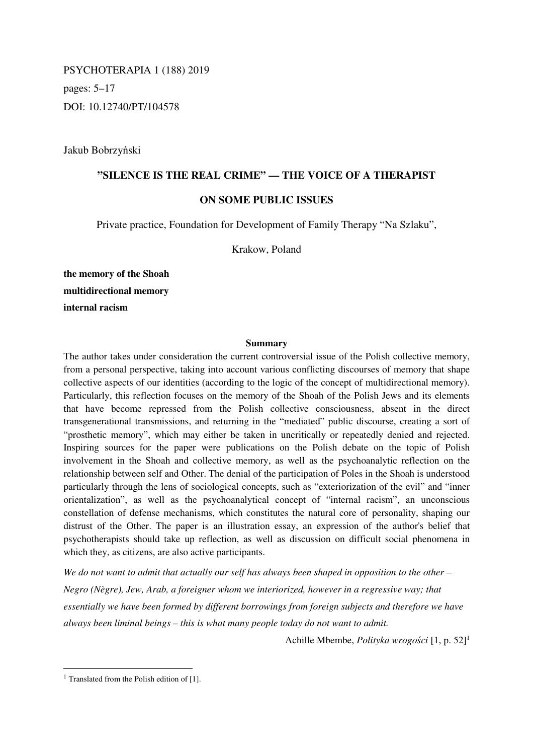PSYCHOTERAPIA 1 (188) 2019 pages: 5–17 DOI: 10.12740/PT/104578

Jakub Bobrzyński

# **"SILENCE IS THE REAL CRIME" — THE VOICE OF A THERAPIST**

## **ON SOME PUBLIC ISSUES**

Private practice, Foundation for Development of Family Therapy "Na Szlaku",

Krakow, Poland

**the memory of the Shoah multidirectional memory internal racism** 

### **Summary**

The author takes under consideration the current controversial issue of the Polish collective memory, from a personal perspective, taking into account various conflicting discourses of memory that shape collective aspects of our identities (according to the logic of the concept of multidirectional memory). Particularly, this reflection focuses on the memory of the Shoah of the Polish Jews and its elements that have become repressed from the Polish collective consciousness, absent in the direct transgenerational transmissions, and returning in the "mediated" public discourse, creating a sort of "prosthetic memory", which may either be taken in uncritically or repeatedly denied and rejected. Inspiring sources for the paper were publications on the Polish debate on the topic of Polish involvement in the Shoah and collective memory, as well as the psychoanalytic reflection on the relationship between self and Other. The denial of the participation of Poles in the Shoah is understood particularly through the lens of sociological concepts, such as "exteriorization of the evil" and "inner orientalization", as well as the psychoanalytical concept of "internal racism", an unconscious constellation of defense mechanisms, which constitutes the natural core of personality, shaping our distrust of the Other. The paper is an illustration essay, an expression of the author's belief that psychotherapists should take up reflection, as well as discussion on difficult social phenomena in which they, as citizens, are also active participants.

*We do not want to admit that actually our self has always been shaped in opposition to the other – Negro (Nègre), Jew, Arab, a foreigner whom we interiorized, however in a regressive way; that essentially we have been formed by different borrowings from foreign subjects and therefore we have always been liminal beings – this is what many people today do not want to admit.* 

Achille Mbembe, *Polityka wrogości* [1, p. 52]<sup>1</sup>

l

<sup>&</sup>lt;sup>1</sup> Translated from the Polish edition of [1].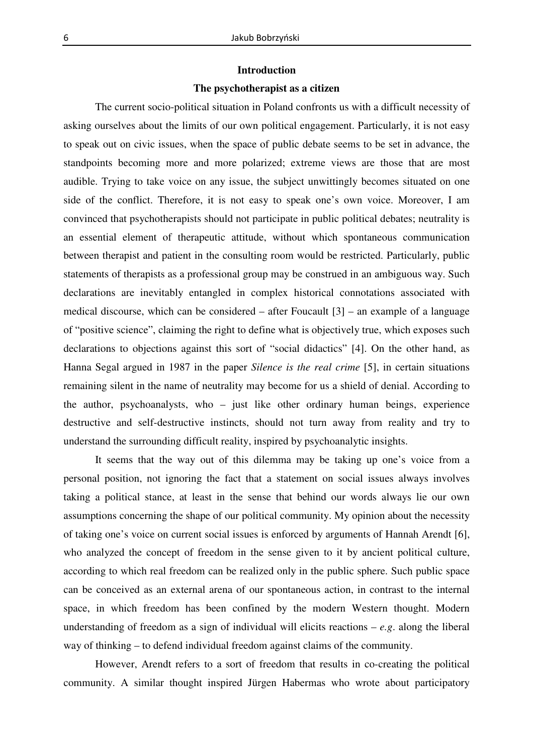### **Introduction**

### **The psychotherapist as a citizen**

The current socio-political situation in Poland confronts us with a difficult necessity of asking ourselves about the limits of our own political engagement. Particularly, it is not easy to speak out on civic issues, when the space of public debate seems to be set in advance, the standpoints becoming more and more polarized; extreme views are those that are most audible. Trying to take voice on any issue, the subject unwittingly becomes situated on one side of the conflict. Therefore, it is not easy to speak one's own voice. Moreover, I am convinced that psychotherapists should not participate in public political debates; neutrality is an essential element of therapeutic attitude, without which spontaneous communication between therapist and patient in the consulting room would be restricted. Particularly, public statements of therapists as a professional group may be construed in an ambiguous way. Such declarations are inevitably entangled in complex historical connotations associated with medical discourse, which can be considered – after Foucault [3] – an example of a language of "positive science", claiming the right to define what is objectively true, which exposes such declarations to objections against this sort of "social didactics" [4]. On the other hand, as Hanna Segal argued in 1987 in the paper *Silence is the real crime* [5], in certain situations remaining silent in the name of neutrality may become for us a shield of denial. According to the author, psychoanalysts, who – just like other ordinary human beings, experience destructive and self-destructive instincts, should not turn away from reality and try to understand the surrounding difficult reality, inspired by psychoanalytic insights.

It seems that the way out of this dilemma may be taking up one's voice from a personal position, not ignoring the fact that a statement on social issues always involves taking a political stance, at least in the sense that behind our words always lie our own assumptions concerning the shape of our political community. My opinion about the necessity of taking one's voice on current social issues is enforced by arguments of Hannah Arendt [6], who analyzed the concept of freedom in the sense given to it by ancient political culture, according to which real freedom can be realized only in the public sphere. Such public space can be conceived as an external arena of our spontaneous action, in contrast to the internal space, in which freedom has been confined by the modern Western thought. Modern understanding of freedom as a sign of individual will elicits reactions – *e.g*. along the liberal way of thinking – to defend individual freedom against claims of the community.

However, Arendt refers to a sort of freedom that results in co-creating the political community. A similar thought inspired Jürgen Habermas who wrote about participatory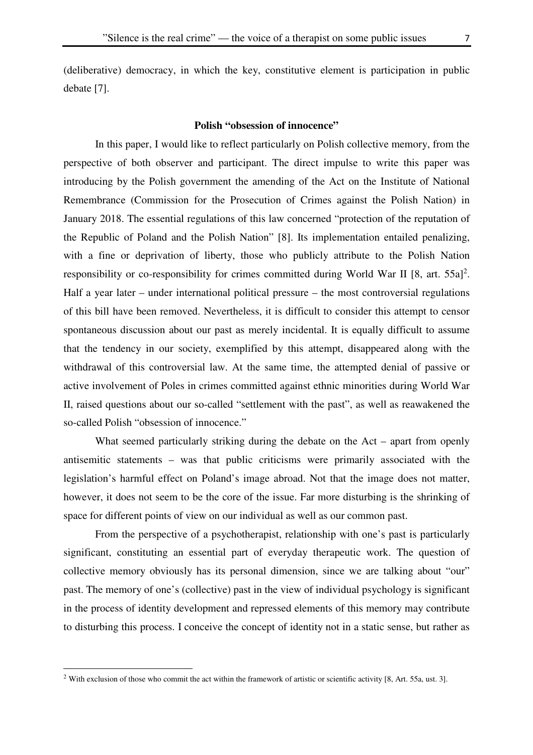(deliberative) democracy, in which the key, constitutive element is participation in public debate [7].

## **Polish "obsession of innocence"**

In this paper, I would like to reflect particularly on Polish collective memory, from the perspective of both observer and participant. The direct impulse to write this paper was introducing by the Polish government the amending of the Act on the Institute of National Remembrance (Commission for the Prosecution of Crimes against the Polish Nation) in January 2018. The essential regulations of this law concerned "protection of the reputation of the Republic of Poland and the Polish Nation" [8]. Its implementation entailed penalizing, with a fine or deprivation of liberty, those who publicly attribute to the Polish Nation responsibility or co-responsibility for crimes committed during World War II [8, art.  $55a$ ]<sup>2</sup>. Half a year later – under international political pressure – the most controversial regulations of this bill have been removed. Nevertheless, it is difficult to consider this attempt to censor spontaneous discussion about our past as merely incidental. It is equally difficult to assume that the tendency in our society, exemplified by this attempt, disappeared along with the withdrawal of this controversial law. At the same time, the attempted denial of passive or active involvement of Poles in crimes committed against ethnic minorities during World War II, raised questions about our so-called "settlement with the past", as well as reawakened the so-called Polish "obsession of innocence."

What seemed particularly striking during the debate on the Act – apart from openly antisemitic statements – was that public criticisms were primarily associated with the legislation's harmful effect on Poland's image abroad. Not that the image does not matter, however, it does not seem to be the core of the issue. Far more disturbing is the shrinking of space for different points of view on our individual as well as our common past.

From the perspective of a psychotherapist, relationship with one's past is particularly significant, constituting an essential part of everyday therapeutic work. The question of collective memory obviously has its personal dimension, since we are talking about "our" past. The memory of one's (collective) past in the view of individual psychology is significant in the process of identity development and repressed elements of this memory may contribute to disturbing this process. I conceive the concept of identity not in a static sense, but rather as

l

<sup>&</sup>lt;sup>2</sup> With exclusion of those who commit the act within the framework of artistic or scientific activity [8, Art. 55a, ust. 3].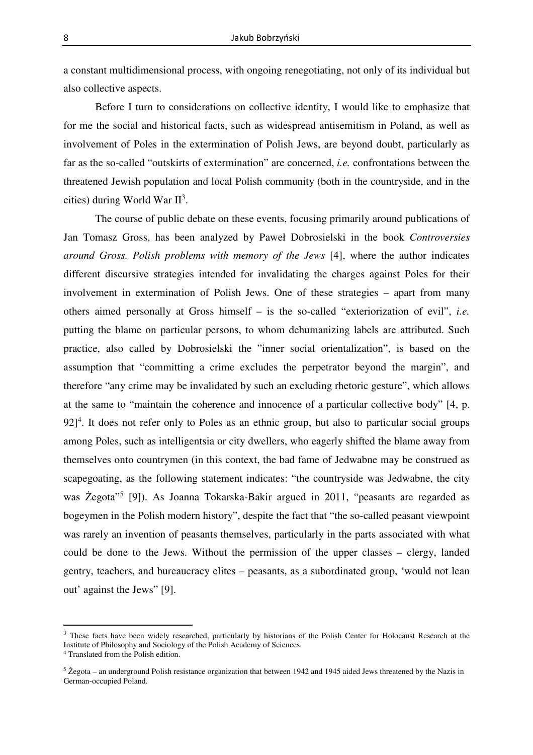a constant multidimensional process, with ongoing renegotiating, not only of its individual but also collective aspects.

Before I turn to considerations on collective identity, I would like to emphasize that for me the social and historical facts, such as widespread antisemitism in Poland, as well as involvement of Poles in the extermination of Polish Jews, are beyond doubt, particularly as far as the so-called "outskirts of extermination" are concerned, *i.e.* confrontations between the threatened Jewish population and local Polish community (both in the countryside, and in the cities) during World War  $II^3$ .

The course of public debate on these events, focusing primarily around publications of Jan Tomasz Gross, has been analyzed by Paweł Dobrosielski in the book *Controversies around Gross. Polish problems with memory of the Jews* [4], where the author indicates different discursive strategies intended for invalidating the charges against Poles for their involvement in extermination of Polish Jews. One of these strategies – apart from many others aimed personally at Gross himself – is the so-called "exteriorization of evil", *i.e.* putting the blame on particular persons, to whom dehumanizing labels are attributed. Such practice, also called by Dobrosielski the "inner social orientalization", is based on the assumption that "committing a crime excludes the perpetrator beyond the margin", and therefore "any crime may be invalidated by such an excluding rhetoric gesture", which allows at the same to "maintain the coherence and innocence of a particular collective body" [4, p.  $92$ <sup>4</sup>. It does not refer only to Poles as an ethnic group, but also to particular social groups among Poles, such as intelligentsia or city dwellers, who eagerly shifted the blame away from themselves onto countrymen (in this context, the bad fame of Jedwabne may be construed as scapegoating, as the following statement indicates: "the countryside was Jedwabne, the city was Żegota<sup>35</sup> [9]). As Joanna Tokarska-Bakir argued in 2011, "peasants are regarded as bogeymen in the Polish modern history", despite the fact that "the so-called peasant viewpoint was rarely an invention of peasants themselves, particularly in the parts associated with what could be done to the Jews. Without the permission of the upper classes – clergy, landed gentry, teachers, and bureaucracy elites – peasants, as a subordinated group, 'would not lean out' against the Jews" [9].

l

<sup>&</sup>lt;sup>3</sup> These facts have been widely researched, particularly by historians of the Polish Center for Holocaust Research at the Institute of Philosophy and Sociology of the Polish Academy of Sciences.

<sup>4</sup> Translated from the Polish edition.

<sup>5</sup> Żegota – an underground Polish resistance organization that between 1942 and 1945 aided Jews threatened by the Nazis in German-occupied Poland.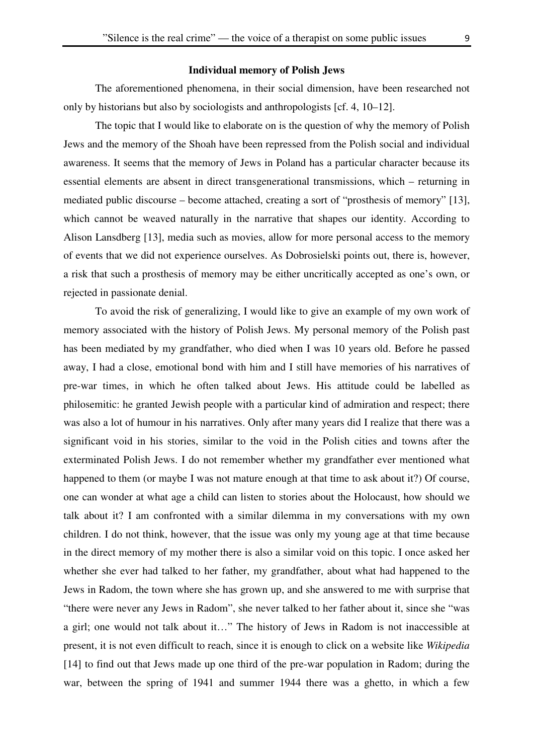#### **Individual memory of Polish Jews**

The aforementioned phenomena, in their social dimension, have been researched not only by historians but also by sociologists and anthropologists [cf. 4, 10–12].

The topic that I would like to elaborate on is the question of why the memory of Polish Jews and the memory of the Shoah have been repressed from the Polish social and individual awareness. It seems that the memory of Jews in Poland has a particular character because its essential elements are absent in direct transgenerational transmissions, which – returning in mediated public discourse – become attached, creating a sort of "prosthesis of memory" [13], which cannot be weaved naturally in the narrative that shapes our identity. According to Alison Lansdberg [13], media such as movies, allow for more personal access to the memory of events that we did not experience ourselves. As Dobrosielski points out, there is, however, a risk that such a prosthesis of memory may be either uncritically accepted as one's own, or rejected in passionate denial.

To avoid the risk of generalizing, I would like to give an example of my own work of memory associated with the history of Polish Jews. My personal memory of the Polish past has been mediated by my grandfather, who died when I was 10 years old. Before he passed away, I had a close, emotional bond with him and I still have memories of his narratives of pre-war times, in which he often talked about Jews. His attitude could be labelled as philosemitic: he granted Jewish people with a particular kind of admiration and respect; there was also a lot of humour in his narratives. Only after many years did I realize that there was a significant void in his stories, similar to the void in the Polish cities and towns after the exterminated Polish Jews. I do not remember whether my grandfather ever mentioned what happened to them (or maybe I was not mature enough at that time to ask about it?) Of course, one can wonder at what age a child can listen to stories about the Holocaust, how should we talk about it? I am confronted with a similar dilemma in my conversations with my own children. I do not think, however, that the issue was only my young age at that time because in the direct memory of my mother there is also a similar void on this topic. I once asked her whether she ever had talked to her father, my grandfather, about what had happened to the Jews in Radom, the town where she has grown up, and she answered to me with surprise that "there were never any Jews in Radom", she never talked to her father about it, since she "was a girl; one would not talk about it…" The history of Jews in Radom is not inaccessible at present, it is not even difficult to reach, since it is enough to click on a website like *Wikipedia* [14] to find out that Jews made up one third of the pre-war population in Radom; during the war, between the spring of 1941 and summer 1944 there was a ghetto, in which a few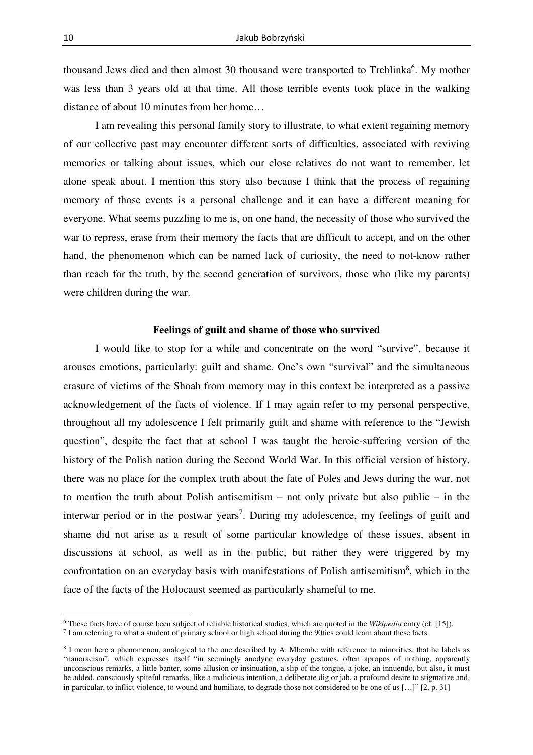thousand Jews died and then almost 30 thousand were transported to Treblinka<sup>6</sup>. My mother was less than 3 years old at that time. All those terrible events took place in the walking distance of about 10 minutes from her home…

I am revealing this personal family story to illustrate, to what extent regaining memory of our collective past may encounter different sorts of difficulties, associated with reviving memories or talking about issues, which our close relatives do not want to remember, let alone speak about. I mention this story also because I think that the process of regaining memory of those events is a personal challenge and it can have a different meaning for everyone. What seems puzzling to me is, on one hand, the necessity of those who survived the war to repress, erase from their memory the facts that are difficult to accept, and on the other hand, the phenomenon which can be named lack of curiosity, the need to not-know rather than reach for the truth, by the second generation of survivors, those who (like my parents) were children during the war.

## **Feelings of guilt and shame of those who survived**

I would like to stop for a while and concentrate on the word "survive", because it arouses emotions, particularly: guilt and shame. One's own "survival" and the simultaneous erasure of victims of the Shoah from memory may in this context be interpreted as a passive acknowledgement of the facts of violence. If I may again refer to my personal perspective, throughout all my adolescence I felt primarily guilt and shame with reference to the "Jewish question", despite the fact that at school I was taught the heroic-suffering version of the history of the Polish nation during the Second World War. In this official version of history, there was no place for the complex truth about the fate of Poles and Jews during the war, not to mention the truth about Polish antisemitism – not only private but also public – in the interwar period or in the postwar years<sup>7</sup>. During my adolescence, my feelings of guilt and shame did not arise as a result of some particular knowledge of these issues, absent in discussions at school, as well as in the public, but rather they were triggered by my confrontation on an everyday basis with manifestations of Polish antisemitism $\delta$ , which in the face of the facts of the Holocaust seemed as particularly shameful to me.

<sup>6</sup> These facts have of course been subject of reliable historical studies, which are quoted in the *Wikipedia* entry (cf. [15]).

<sup>&</sup>lt;sup>7</sup> I am referring to what a student of primary school or high school during the 90ties could learn about these facts.

<sup>&</sup>lt;sup>8</sup> I mean here a phenomenon, analogical to the one described by A. Mbembe with reference to minorities, that he labels as "nanoracism", which expresses itself "in seemingly anodyne everyday gestures, often apropos of nothing, apparently unconscious remarks, a little banter, some allusion or insinuation, a slip of the tongue, a joke, an innuendo, but also, it must be added, consciously spiteful remarks, like a malicious intention, a deliberate dig or jab, a profound desire to stigmatize and, in particular, to inflict violence, to wound and humiliate, to degrade those not considered to be one of us […]" [2, p. 31]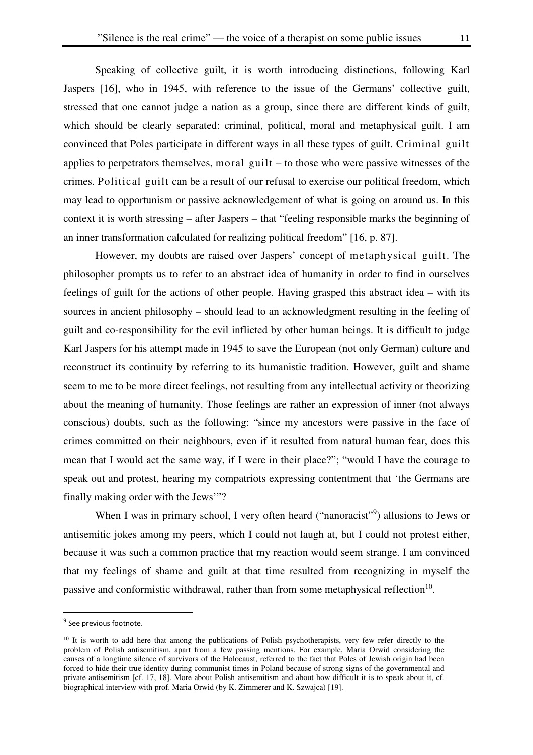Speaking of collective guilt, it is worth introducing distinctions, following Karl Jaspers [16], who in 1945, with reference to the issue of the Germans' collective guilt, stressed that one cannot judge a nation as a group, since there are different kinds of guilt, which should be clearly separated: criminal, political, moral and metaphysical guilt. I am convinced that Poles participate in different ways in all these types of guilt. Criminal guilt applies to perpetrators themselves, moral guilt – to those who were passive witnesses of the crimes. Political guilt can be a result of our refusal to exercise our political freedom, which may lead to opportunism or passive acknowledgement of what is going on around us. In this context it is worth stressing – after Jaspers – that "feeling responsible marks the beginning of an inner transformation calculated for realizing political freedom" [16, p. 87].

However, my doubts are raised over Jaspers' concept of metaphysical guilt. The philosopher prompts us to refer to an abstract idea of humanity in order to find in ourselves feelings of guilt for the actions of other people. Having grasped this abstract idea – with its sources in ancient philosophy – should lead to an acknowledgment resulting in the feeling of guilt and co-responsibility for the evil inflicted by other human beings. It is difficult to judge Karl Jaspers for his attempt made in 1945 to save the European (not only German) culture and reconstruct its continuity by referring to its humanistic tradition. However, guilt and shame seem to me to be more direct feelings, not resulting from any intellectual activity or theorizing about the meaning of humanity. Those feelings are rather an expression of inner (not always conscious) doubts, such as the following: "since my ancestors were passive in the face of crimes committed on their neighbours, even if it resulted from natural human fear, does this mean that I would act the same way, if I were in their place?"; "would I have the courage to speak out and protest, hearing my compatriots expressing contentment that 'the Germans are finally making order with the Jews'"?

When I was in primary school, I very often heard ("nanoracist"<sup>9</sup>) allusions to Jews or antisemitic jokes among my peers, which I could not laugh at, but I could not protest either, because it was such a common practice that my reaction would seem strange. I am convinced that my feelings of shame and guilt at that time resulted from recognizing in myself the passive and conformistic withdrawal, rather than from some metaphysical reflection $10$ .

<sup>&</sup>lt;sup>9</sup> See previous footnote.

<sup>&</sup>lt;sup>10</sup> It is worth to add here that among the publications of Polish psychotherapists, very few refer directly to the problem of Polish antisemitism, apart from a few passing mentions. For example, Maria Orwid considering the causes of a longtime silence of survivors of the Holocaust, referred to the fact that Poles of Jewish origin had been forced to hide their true identity during communist times in Poland because of strong signs of the governmental and private antisemitism [cf. 17, 18]. More about Polish antisemitism and about how difficult it is to speak about it, cf. biographical interview with prof. Maria Orwid (by K. Zimmerer and K. Szwajca) [19].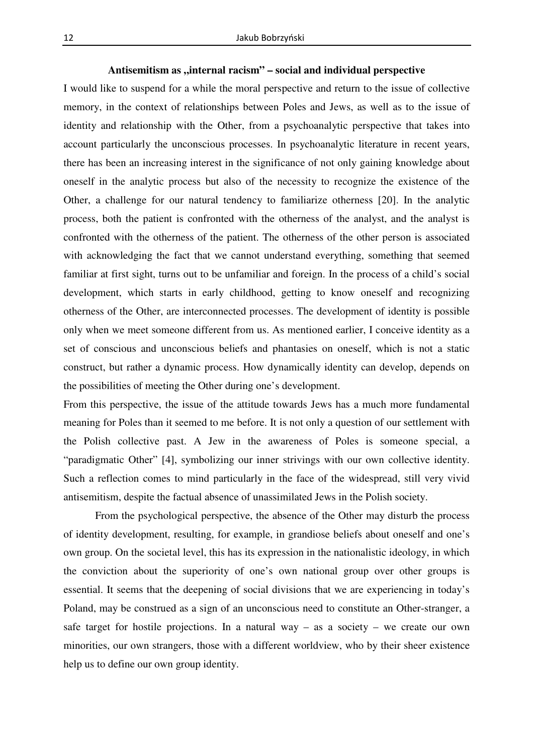## Antisemitism as "internal racism" – social and individual perspective

I would like to suspend for a while the moral perspective and return to the issue of collective memory, in the context of relationships between Poles and Jews, as well as to the issue of identity and relationship with the Other, from a psychoanalytic perspective that takes into account particularly the unconscious processes. In psychoanalytic literature in recent years, there has been an increasing interest in the significance of not only gaining knowledge about oneself in the analytic process but also of the necessity to recognize the existence of the Other, a challenge for our natural tendency to familiarize otherness [20]. In the analytic process, both the patient is confronted with the otherness of the analyst, and the analyst is confronted with the otherness of the patient. The otherness of the other person is associated with acknowledging the fact that we cannot understand everything, something that seemed familiar at first sight, turns out to be unfamiliar and foreign. In the process of a child's social development, which starts in early childhood, getting to know oneself and recognizing otherness of the Other, are interconnected processes. The development of identity is possible only when we meet someone different from us. As mentioned earlier, I conceive identity as a set of conscious and unconscious beliefs and phantasies on oneself, which is not a static construct, but rather a dynamic process. How dynamically identity can develop, depends on the possibilities of meeting the Other during one's development.

From this perspective, the issue of the attitude towards Jews has a much more fundamental meaning for Poles than it seemed to me before. It is not only a question of our settlement with the Polish collective past. A Jew in the awareness of Poles is someone special, a "paradigmatic Other" [4], symbolizing our inner strivings with our own collective identity. Such a reflection comes to mind particularly in the face of the widespread, still very vivid antisemitism, despite the factual absence of unassimilated Jews in the Polish society.

From the psychological perspective, the absence of the Other may disturb the process of identity development, resulting, for example, in grandiose beliefs about oneself and one's own group. On the societal level, this has its expression in the nationalistic ideology, in which the conviction about the superiority of one's own national group over other groups is essential. It seems that the deepening of social divisions that we are experiencing in today's Poland, may be construed as a sign of an unconscious need to constitute an Other-stranger, a safe target for hostile projections. In a natural way – as a society – we create our own minorities, our own strangers, those with a different worldview, who by their sheer existence help us to define our own group identity.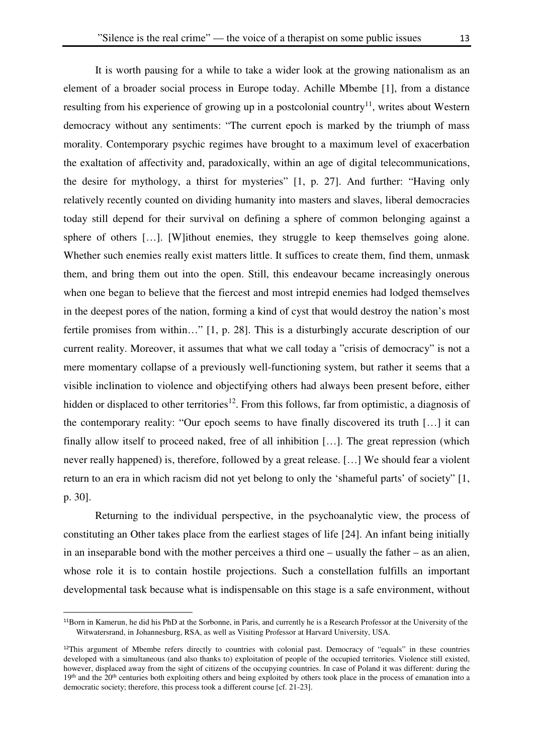It is worth pausing for a while to take a wider look at the growing nationalism as an element of a broader social process in Europe today. Achille Mbembe [1], from a distance resulting from his experience of growing up in a postcolonial country<sup>11</sup>, writes about Western democracy without any sentiments: "The current epoch is marked by the triumph of mass morality. Contemporary psychic regimes have brought to a maximum level of exacerbation the exaltation of affectivity and, paradoxically, within an age of digital telecommunications, the desire for mythology, a thirst for mysteries" [1, p. 27]. And further: "Having only relatively recently counted on dividing humanity into masters and slaves, liberal democracies today still depend for their survival on defining a sphere of common belonging against a sphere of others [...]. [W]ithout enemies, they struggle to keep themselves going alone. Whether such enemies really exist matters little. It suffices to create them, find them, unmask them, and bring them out into the open. Still, this endeavour became increasingly onerous when one began to believe that the fiercest and most intrepid enemies had lodged themselves in the deepest pores of the nation, forming a kind of cyst that would destroy the nation's most fertile promises from within…" [1, p. 28]. This is a disturbingly accurate description of our current reality. Moreover, it assumes that what we call today a "crisis of democracy" is not a mere momentary collapse of a previously well-functioning system, but rather it seems that a visible inclination to violence and objectifying others had always been present before, either hidden or displaced to other territories<sup>12</sup>. From this follows, far from optimistic, a diagnosis of the contemporary reality: "Our epoch seems to have finally discovered its truth […] it can finally allow itself to proceed naked, free of all inhibition […]. The great repression (which never really happened) is, therefore, followed by a great release. […] We should fear a violent return to an era in which racism did not yet belong to only the 'shameful parts' of society" [1, p. 30].

Returning to the individual perspective, in the psychoanalytic view, the process of constituting an Other takes place from the earliest stages of life [24]. An infant being initially in an inseparable bond with the mother perceives a third one – usually the father – as an alien, whose role it is to contain hostile projections. Such a constellation fulfills an important developmental task because what is indispensable on this stage is a safe environment, without

<sup>11</sup>Born in Kamerun, he did his PhD at the Sorbonne, in Paris, and currently he is a Research Professor at the University of the Witwatersrand, in Johannesburg, RSA, as well as Visiting Professor at Harvard University, USA.

 $12$ This argument of Mbembe refers directly to countries with colonial past. Democracy of "equals" in these countries developed with a simultaneous (and also thanks to) exploitation of people of the occupied territories. Violence still existed, however, displaced away from the sight of citizens of the occupying countries. In case of Poland it was different: during the 19<sup>th</sup> and the 20<sup>th</sup> centuries both exploiting others and being exploited by others took place in the process of emanation into a democratic society; therefore, this process took a different course [cf. 21-23].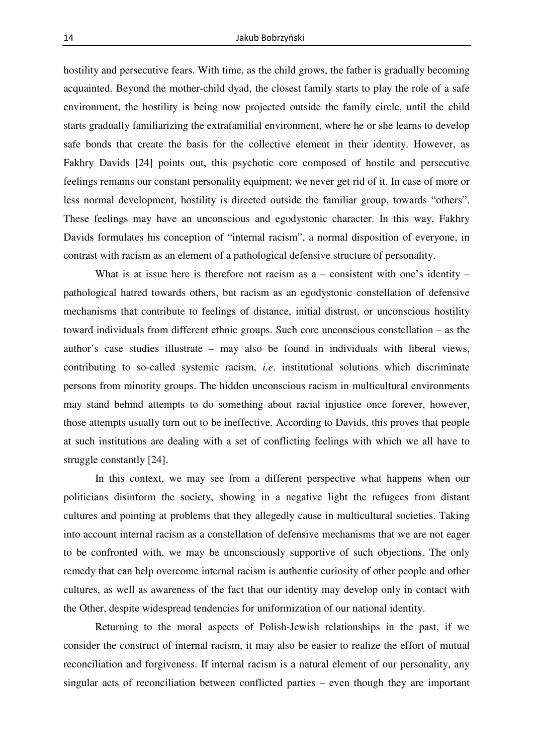hostility and persecutive fears. With time, as the child grows, the father is gradually becoming acquainted. Beyond the mother-child dyad, the closest family starts to play the role of a safe environment, the hostility is being now projected outside the family circle, until the child starts gradually familiarizing the extrafamilial environment, where he or she learns to develop safe bonds that create the basis for the collective element in their identity. However, as Fakhry Davids [24] points out, this psychotic core composed of hostile and persecutive feelings remains our constant personality equipment; we never get rid of it. In case of more or less normal development, hostility is directed outside the familiar group, towards "others". These feelings may have an unconscious and egodystonic character. In this way, Fakhry Davids formulates his conception of "internal racism", a normal disposition of everyone, in contrast with racism as an element of a pathological defensive structure of personality.

What is at issue here is therefore not racism as a – consistent with one's identity – pathological hatred towards others, but racism as an egodystonic constellation of defensive mechanisms that contribute to feelings of distance, initial distrust, or unconscious hostility toward individuals from different ethnic groups. Such core unconscious constellation – as the author's case studies illustrate – may also be found in individuals with liberal views, contributing to so-called systemic racism, *i.e*. institutional solutions which discriminate persons from minority groups. The hidden unconscious racism in multicultural environments may stand behind attempts to do something about racial injustice once forever, however, those attempts usually turn out to be ineffective. According to Davids, this proves that people at such institutions are dealing with a set of conflicting feelings with which we all have to struggle constantly [24].

In this context, we may see from a different perspective what happens when our politicians disinform the society, showing in a negative light the refugees from distant cultures and pointing at problems that they allegedly cause in multicultural societies. Taking into account internal racism as a constellation of defensive mechanisms that we are not eager to be confronted with, we may be unconsciously supportive of such objections. The only remedy that can help overcome internal racism is authentic curiosity of other people and other cultures, as well as awareness of the fact that our identity may develop only in contact with the Other, despite widespread tendencies for uniformization of our national identity.

Returning to the moral aspects of Polish-Jewish relationships in the past, if we consider the construct of internal racism, it may also be easier to realize the effort of mutual reconciliation and forgiveness. If internal racism is a natural element of our personality, any singular acts of reconciliation between conflicted parties – even though they are important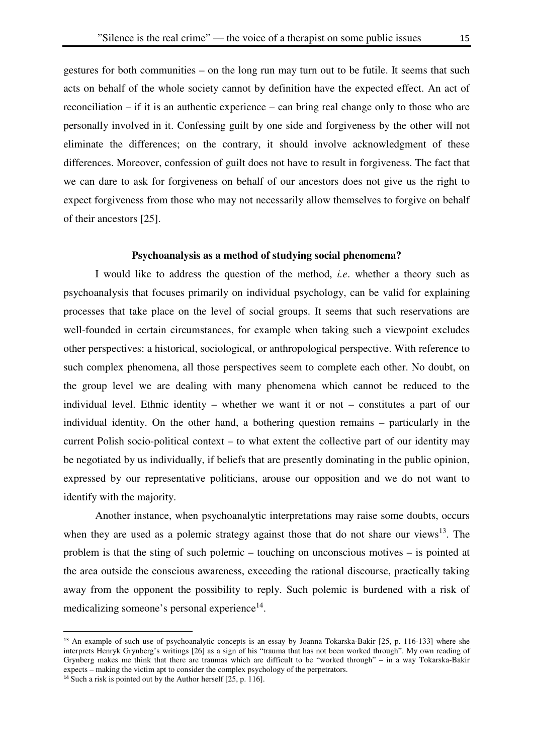gestures for both communities – on the long run may turn out to be futile. It seems that such acts on behalf of the whole society cannot by definition have the expected effect. An act of reconciliation – if it is an authentic experience – can bring real change only to those who are personally involved in it. Confessing guilt by one side and forgiveness by the other will not eliminate the differences; on the contrary, it should involve acknowledgment of these differences. Moreover, confession of guilt does not have to result in forgiveness. The fact that we can dare to ask for forgiveness on behalf of our ancestors does not give us the right to expect forgiveness from those who may not necessarily allow themselves to forgive on behalf of their ancestors [25].

### **Psychoanalysis as a method of studying social phenomena?**

I would like to address the question of the method, *i.e*. whether a theory such as psychoanalysis that focuses primarily on individual psychology, can be valid for explaining processes that take place on the level of social groups. It seems that such reservations are well-founded in certain circumstances, for example when taking such a viewpoint excludes other perspectives: a historical, sociological, or anthropological perspective. With reference to such complex phenomena, all those perspectives seem to complete each other. No doubt, on the group level we are dealing with many phenomena which cannot be reduced to the individual level. Ethnic identity – whether we want it or not – constitutes a part of our individual identity. On the other hand, a bothering question remains – particularly in the current Polish socio-political context – to what extent the collective part of our identity may be negotiated by us individually, if beliefs that are presently dominating in the public opinion, expressed by our representative politicians, arouse our opposition and we do not want to identify with the majority.

Another instance, when psychoanalytic interpretations may raise some doubts, occurs when they are used as a polemic strategy against those that do not share our views $^{13}$ . The problem is that the sting of such polemic – touching on unconscious motives – is pointed at the area outside the conscious awareness, exceeding the rational discourse, practically taking away from the opponent the possibility to reply. Such polemic is burdened with a risk of medicalizing someone's personal experience<sup>14</sup>.

<sup>13</sup> An example of such use of psychoanalytic concepts is an essay by Joanna Tokarska-Bakir [25, p. 116-133] where she interprets Henryk Grynberg's writings [26] as a sign of his "trauma that has not been worked through". My own reading of Grynberg makes me think that there are traumas which are difficult to be "worked through" – in a way Tokarska-Bakir expects – making the victim apt to consider the complex psychology of the perpetrators.

<sup>14</sup> Such a risk is pointed out by the Author herself [25, p. 116].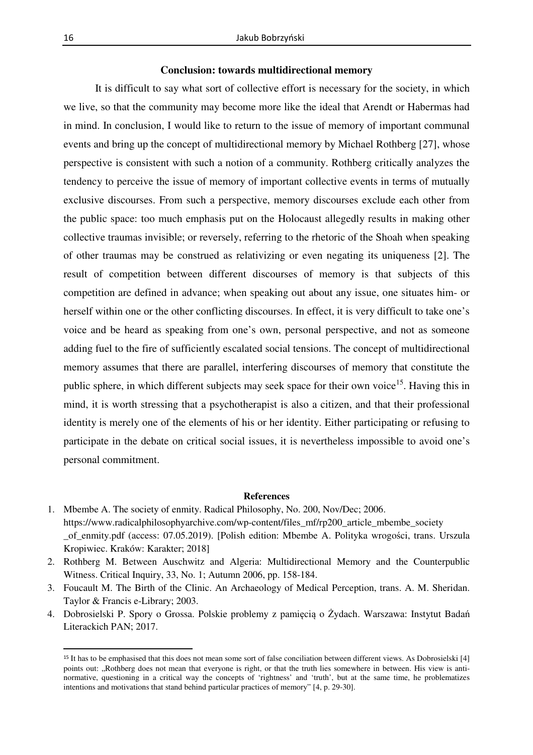### **Conclusion: towards multidirectional memory**

It is difficult to say what sort of collective effort is necessary for the society, in which we live, so that the community may become more like the ideal that Arendt or Habermas had in mind. In conclusion, I would like to return to the issue of memory of important communal events and bring up the concept of multidirectional memory by Michael Rothberg [27], whose perspective is consistent with such a notion of a community. Rothberg critically analyzes the tendency to perceive the issue of memory of important collective events in terms of mutually exclusive discourses. From such a perspective, memory discourses exclude each other from the public space: too much emphasis put on the Holocaust allegedly results in making other collective traumas invisible; or reversely, referring to the rhetoric of the Shoah when speaking of other traumas may be construed as relativizing or even negating its uniqueness [2]. The result of competition between different discourses of memory is that subjects of this competition are defined in advance; when speaking out about any issue, one situates him- or herself within one or the other conflicting discourses. In effect, it is very difficult to take one's voice and be heard as speaking from one's own, personal perspective, and not as someone adding fuel to the fire of sufficiently escalated social tensions. The concept of multidirectional memory assumes that there are parallel, interfering discourses of memory that constitute the public sphere, in which different subjects may seek space for their own voice<sup>15</sup>. Having this in mind, it is worth stressing that a psychotherapist is also a citizen, and that their professional identity is merely one of the elements of his or her identity. Either participating or refusing to participate in the debate on critical social issues, it is nevertheless impossible to avoid one's personal commitment.

#### **References**

- 1. Mbembe A. The society of enmity. Radical Philosophy, No. 200, Nov/Dec; 2006. https://www.radicalphilosophyarchive.com/wp-content/files\_mf/rp200\_article\_mbembe\_society \_of\_enmity.pdf (access: 07.05.2019). [Polish edition: Mbembe A. Polityka wrogości, trans. Urszula Kropiwiec. Kraków: Karakter; 2018]
- 2. Rothberg M. Between Auschwitz and Algeria: Multidirectional Memory and the Counterpublic Witness. Critical Inquiry, 33, No. 1; Autumn 2006, pp. 158-184.
- 3. Foucault M. The Birth of the Clinic. An Archaeology of Medical Perception, trans. A. M. Sheridan. Taylor & Francis e-Library; 2003.
- 4. Dobrosielski P. Spory o Grossa. Polskie problemy z pamięcią o Żydach. Warszawa: Instytut Badań Literackich PAN; 2017.

<sup>15</sup> It has to be emphasised that this does not mean some sort of false conciliation between different views. As Dobrosielski [4] points out: "Rothberg does not mean that everyone is right, or that the truth lies somewhere in between. His view is antinormative, questioning in a critical way the concepts of 'rightness' and 'truth', but at the same time, he problematizes intentions and motivations that stand behind particular practices of memory" [4, p. 29-30].